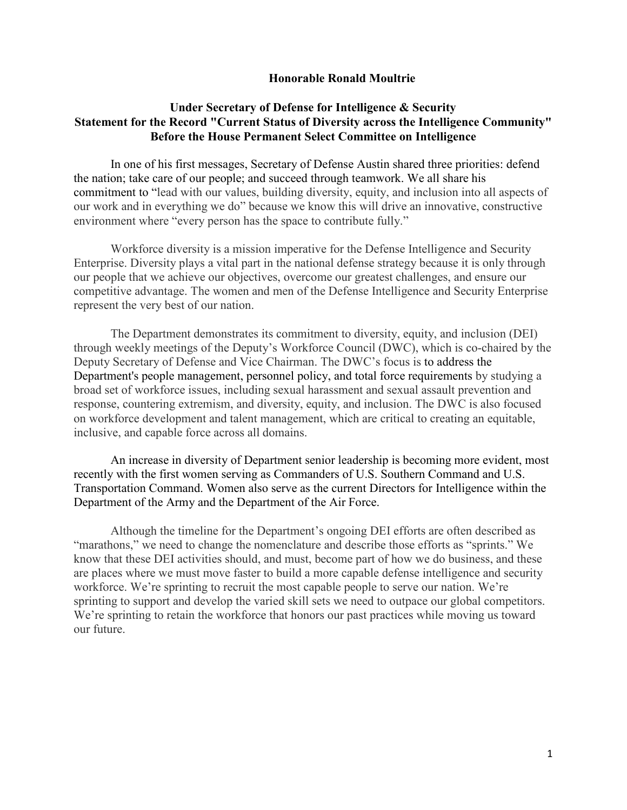### **Honorable Ronald Moultrie**

## **Under Secretary of Defense for Intelligence & Security Statement for the Record "Current Status of Diversity across the Intelligence Community" Before the House Permanent Select Committee on Intelligence**

In one of his first messages, Secretary of Defense Austin shared three priorities: defend the nation; take care of our people; and succeed through teamwork. We all share his commitment to "lead with our values, building diversity, equity, and inclusion into all aspects of our work and in everything we do" because we know this will drive an innovative, constructive environment where "every person has the space to contribute fully."

Workforce diversity is a mission imperative for the Defense Intelligence and Security Enterprise. Diversity plays a vital part in the national defense strategy because it is only through our people that we achieve our objectives, overcome our greatest challenges, and ensure our competitive advantage. The women and men of the Defense Intelligence and Security Enterprise represent the very best of our nation.

The Department demonstrates its commitment to diversity, equity, and inclusion (DEI) through weekly meetings of the Deputy's Workforce Council (DWC), which is co-chaired by the Deputy Secretary of Defense and Vice Chairman. The DWC's focus is to address the Department's people management, personnel policy, and total force requirements by studying a broad set of workforce issues, including sexual harassment and sexual assault prevention and response, countering extremism, and diversity, equity, and inclusion. The DWC is also focused on workforce development and talent management, which are critical to creating an equitable, inclusive, and capable force across all domains.

An increase in diversity of Department senior leadership is becoming more evident, most recently with the first women serving as Commanders of U.S. Southern Command and U.S. Transportation Command. Women also serve as the current Directors for Intelligence within the Department of the Army and the Department of the Air Force.

Although the timeline for the Department's ongoing DEI efforts are often described as "marathons," we need to change the nomenclature and describe those efforts as "sprints." We know that these DEI activities should, and must, become part of how we do business, and these are places where we must move faster to build a more capable defense intelligence and security workforce. We're sprinting to recruit the most capable people to serve our nation. We're sprinting to support and develop the varied skill sets we need to outpace our global competitors. We're sprinting to retain the workforce that honors our past practices while moving us toward our future.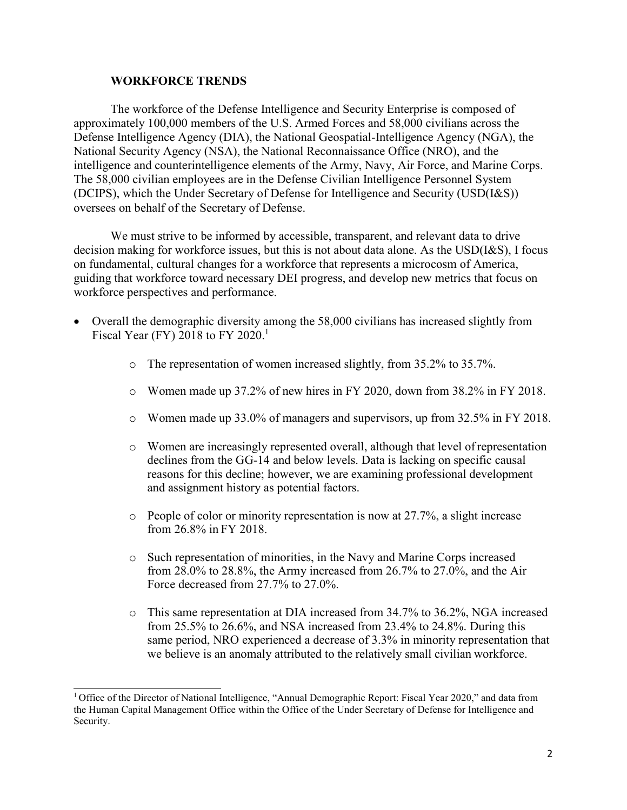### **WORKFORCE TRENDS**

The workforce of the Defense Intelligence and Security Enterprise is composed of approximately 100,000 members of the U.S. Armed Forces and 58,000 civilians across the Defense Intelligence Agency (DIA), the National Geospatial-Intelligence Agency (NGA), the National Security Agency (NSA), the National Reconnaissance Office (NRO), and the intelligence and counterintelligence elements of the Army, Navy, Air Force, and Marine Corps. The 58,000 civilian employees are in the Defense Civilian Intelligence Personnel System (DCIPS), which the Under Secretary of Defense for Intelligence and Security (USD(I&S)) oversees on behalf of the Secretary of Defense.

We must strive to be informed by accessible, transparent, and relevant data to drive decision making for workforce issues, but this is not about data alone. As the USD(I&S), I focus on fundamental, cultural changes for a workforce that represents a microcosm of America, guiding that workforce toward necessary DEI progress, and develop new metrics that focus on workforce perspectives and performance.

- Overall the demographic diversity among the 58,000 civilians has increased slightly from Fiscal Year (FY) 2018 to FY 2020.<sup>1</sup>
	- o The representation of women increased slightly, from 35.2% to 35.7%.
	- $\circ$  Women made up 37.2% of new hires in FY 2020, down from 38.2% in FY 2018.
	- $\circ$  Women made up 33.0% of managers and supervisors, up from 32.5% in FY 2018.
	- o Women are increasingly represented overall, although that level ofrepresentation declines from the GG-14 and below levels. Data is lacking on specific causal reasons for this decline; however, we are examining professional development and assignment history as potential factors.
	- o People of color or minority representation is now at 27.7%, a slight increase from 26.8% in FY 2018.
	- o Such representation of minorities, in the Navy and Marine Corps increased from 28.0% to 28.8%, the Army increased from 26.7% to 27.0%, and the Air Force decreased from 27.7% to 27.0%.
	- o This same representation at DIA increased from 34.7% to 36.2%, NGA increased from 25.5% to 26.6%, and NSA increased from 23.4% to 24.8%. During this same period, NRO experienced a decrease of 3.3% in minority representation that we believe is an anomaly attributed to the relatively small civilian workforce.

<span id="page-1-0"></span><sup>&</sup>lt;sup>1</sup> Office of the Director of National Intelligence, "Annual Demographic Report: Fiscal Year 2020," and data from the Human Capital Management Office within the Office of the Under Secretary of Defense for Intelligence and Security.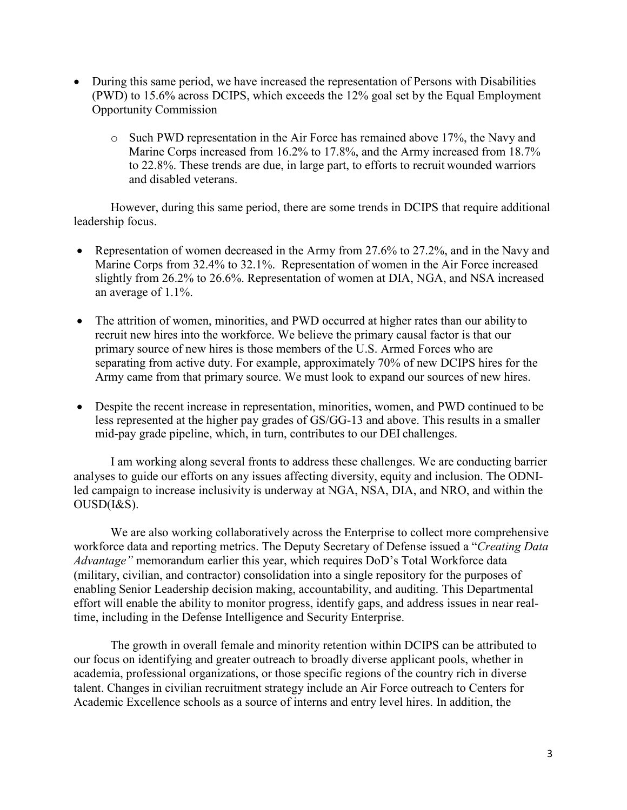- During this same period, we have increased the representation of Persons with Disabilities (PWD) to 15.6% across DCIPS, which exceeds the 12% goal set by the Equal Employment Opportunity Commission
	- o Such PWD representation in the Air Force has remained above 17%, the Navy and Marine Corps increased from 16.2% to 17.8%, and the Army increased from 18.7% to 22.8%. These trends are due, in large part, to efforts to recruit wounded warriors and disabled veterans.

However, during this same period, there are some trends in DCIPS that require additional leadership focus.

- Representation of women decreased in the Army from 27.6% to 27.2%, and in the Navy and Marine Corps from 32.4% to 32.1%. Representation of women in the Air Force increased slightly from 26.2% to 26.6%. Representation of women at DIA, NGA, and NSA increased an average of 1.1%.
- The attrition of women, minorities, and PWD occurred at higher rates than our ability to recruit new hires into the workforce. We believe the primary causal factor is that our primary source of new hires is those members of the U.S. Armed Forces who are separating from active duty. For example, approximately 70% of new DCIPS hires for the Army came from that primary source. We must look to expand our sources of new hires.
- Despite the recent increase in representation, minorities, women, and PWD continued to be less represented at the higher pay grades of GS/GG-13 and above. This results in a smaller mid-pay grade pipeline, which, in turn, contributes to our DEI challenges.

I am working along several fronts to address these challenges. We are conducting barrier analyses to guide our efforts on any issues affecting diversity, equity and inclusion. The ODNIled campaign to increase inclusivity is underway at NGA, NSA, DIA, and NRO, and within the OUSD(I&S).

We are also working collaboratively across the Enterprise to collect more comprehensive workforce data and reporting metrics. The Deputy Secretary of Defense issued a "*Creating Data Advantage"* memorandum earlier this year, which requires DoD's Total Workforce data (military, civilian, and contractor) consolidation into a single repository for the purposes of enabling Senior Leadership decision making, accountability, and auditing. This Departmental effort will enable the ability to monitor progress, identify gaps, and address issues in near realtime, including in the Defense Intelligence and Security Enterprise.

The growth in overall female and minority retention within DCIPS can be attributed to our focus on identifying and greater outreach to broadly diverse applicant pools, whether in academia, professional organizations, or those specific regions of the country rich in diverse talent. Changes in civilian recruitment strategy include an Air Force outreach to Centers for Academic Excellence schools as a source of interns and entry level hires. In addition, the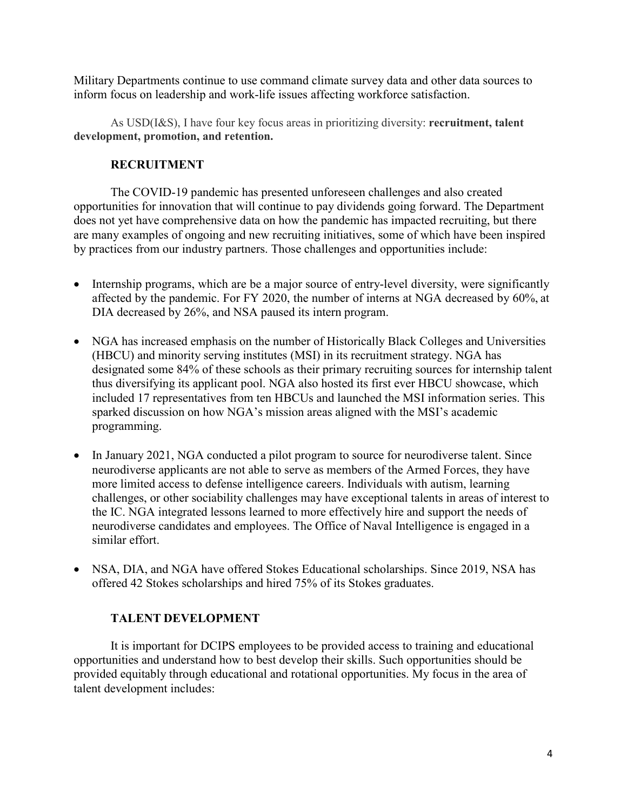Military Departments continue to use command climate survey data and other data sources to inform focus on leadership and work-life issues affecting workforce satisfaction.

As USD(I&S), I have four key focus areas in prioritizing diversity: **recruitment, talent development, promotion, and retention.**

# **RECRUITMENT**

The COVID-19 pandemic has presented unforeseen challenges and also created opportunities for innovation that will continue to pay dividends going forward. The Department does not yet have comprehensive data on how the pandemic has impacted recruiting, but there are many examples of ongoing and new recruiting initiatives, some of which have been inspired by practices from our industry partners. Those challenges and opportunities include:

- Internship programs, which are be a major source of entry-level diversity, were significantly affected by the pandemic. For FY 2020, the number of interns at NGA decreased by 60%, at DIA decreased by 26%, and NSA paused its intern program.
- NGA has increased emphasis on the number of Historically Black Colleges and Universities (HBCU) and minority serving institutes (MSI) in its recruitment strategy. NGA has designated some 84% of these schools as their primary recruiting sources for internship talent thus diversifying its applicant pool. NGA also hosted its first ever HBCU showcase, which included 17 representatives from ten HBCUs and launched the MSI information series. This sparked discussion on how NGA's mission areas aligned with the MSI's academic programming.
- In January 2021, NGA conducted a pilot program to source for neurodiverse talent. Since neurodiverse applicants are not able to serve as members of the Armed Forces, they have more limited access to defense intelligence careers. Individuals with autism, learning challenges, or other sociability challenges may have exceptional talents in areas of interest to the IC. NGA integrated lessons learned to more effectively hire and support the needs of neurodiverse candidates and employees. The Office of Naval Intelligence is engaged in a similar effort.
- NSA, DIA, and NGA have offered Stokes Educational scholarships. Since 2019, NSA has offered 42 Stokes scholarships and hired 75% of its Stokes graduates.

# **TALENT DEVELOPMENT**

It is important for DCIPS employees to be provided access to training and educational opportunities and understand how to best develop their skills. Such opportunities should be provided equitably through educational and rotational opportunities. My focus in the area of talent development includes: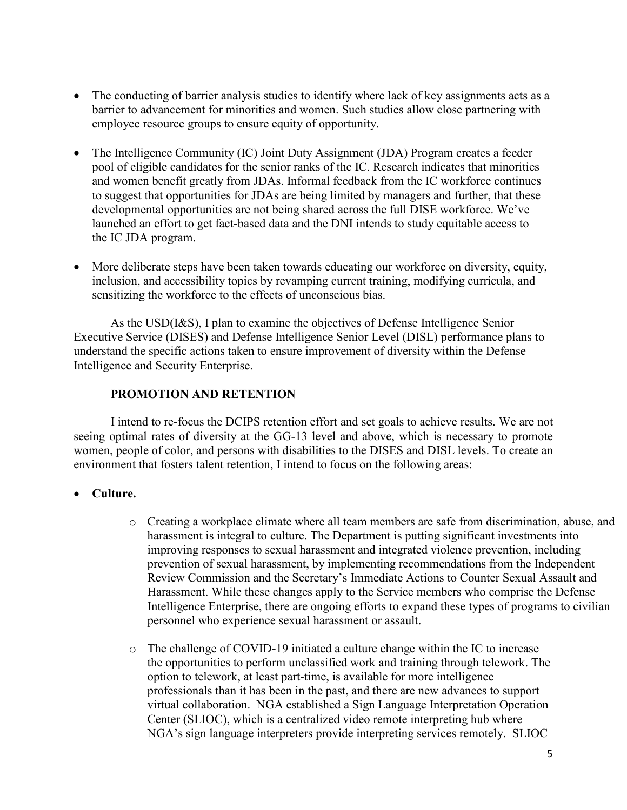- The conducting of barrier analysis studies to identify where lack of key assignments acts as a barrier to advancement for minorities and women. Such studies allow close partnering with employee resource groups to ensure equity of opportunity.
- The Intelligence Community (IC) Joint Duty Assignment (JDA) Program creates a feeder pool of eligible candidates for the senior ranks of the IC. Research indicates that minorities and women benefit greatly from JDAs. Informal feedback from the IC workforce continues to suggest that opportunities for JDAs are being limited by managers and further, that these developmental opportunities are not being shared across the full DISE workforce. We've launched an effort to get fact-based data and the DNI intends to study equitable access to the IC JDA program.
- More deliberate steps have been taken towards educating our workforce on diversity, equity, inclusion, and accessibility topics by revamping current training, modifying curricula, and sensitizing the workforce to the effects of unconscious bias.

As the USD(I&S), I plan to examine the objectives of Defense Intelligence Senior Executive Service (DISES) and Defense Intelligence Senior Level (DISL) performance plans to understand the specific actions taken to ensure improvement of diversity within the Defense Intelligence and Security Enterprise.

## **PROMOTION AND RETENTION**

I intend to re-focus the DCIPS retention effort and set goals to achieve results. We are not seeing optimal rates of diversity at the GG-13 level and above, which is necessary to promote women, people of color, and persons with disabilities to the DISES and DISL levels. To create an environment that fosters talent retention, I intend to focus on the following areas:

## • **Culture.**

- o Creating a workplace climate where all team members are safe from discrimination, abuse, and harassment is integral to culture. The Department is putting significant investments into improving responses to sexual harassment and integrated violence prevention, including prevention of sexual harassment, by implementing recommendations from the Independent Review Commission and the Secretary's Immediate Actions to Counter Sexual Assault and Harassment. While these changes apply to the Service members who comprise the Defense Intelligence Enterprise, there are ongoing efforts to expand these types of programs to civilian personnel who experience sexual harassment or assault.
- o The challenge of COVID-19 initiated a culture change within the IC to increase the opportunities to perform unclassified work and training through telework. The option to telework, at least part-time, is available for more intelligence professionals than it has been in the past, and there are new advances to support virtual collaboration. NGA established a Sign Language Interpretation Operation Center (SLIOC), which is a centralized video remote interpreting hub where NGA's sign language interpreters provide interpreting services remotely. SLIOC